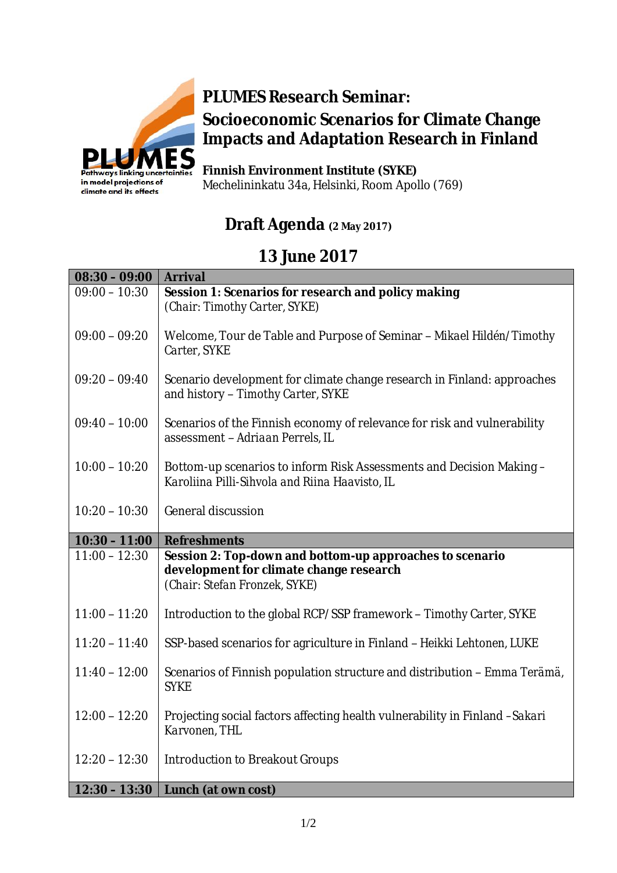

**08:30 – 09:00 Arrival**

**PLUMES** Research Seminar: **Socioeconomic Scenarios for Climate Change Impacts and Adaptation Research in Finland**

**Finnish Environment Institute (SYKE)** Mechelininkatu 34a, Helsinki, Room Apollo (769)

## **Draft Agenda (2 May 2017)**

## **13 June 2017**

| $09:00 - 10:30$ | Session 1: Scenarios for research and policy making<br>(Chair: Timothy Carter, SYKE)                                                 |
|-----------------|--------------------------------------------------------------------------------------------------------------------------------------|
| $09:00 - 09:20$ | Welcome, Tour de Table and Purpose of Seminar - Mikael Hildén/Timothy<br>Carter, SYKE                                                |
| $09:20 - 09:40$ | Scenario development for climate change research in Finland: approaches<br>and history - Timothy Carter, SYKE                        |
| $09:40 - 10:00$ | Scenarios of the Finnish economy of relevance for risk and vulnerability<br>assessment - Adriaan Perrels, IL                         |
| $10:00 - 10:20$ | Bottom-up scenarios to inform Risk Assessments and Decision Making -<br>Karoliina Pilli-Sihvola and Riina Haavisto, IL               |
| $10:20 - 10:30$ | <b>General discussion</b>                                                                                                            |
| $10:30 - 11:00$ | Refreshments                                                                                                                         |
| $11:00 - 12:30$ | Session 2: Top-down and bottom-up approaches to scenario<br>development for climate change research<br>(Chair: Stefan Fronzek, SYKE) |
|                 |                                                                                                                                      |
| $11:00 - 11:20$ | Introduction to the global RCP/SSP framework - Timothy Carter, SYKE                                                                  |
| $11:20 - 11:40$ | SSP-based scenarios for agriculture in Finland - Heikki Lehtonen, LUKE                                                               |
| $11:40 - 12:00$ | Scenarios of Finnish population structure and distribution - Emma Terämä,<br><b>SYKE</b>                                             |
| $12:00 - 12:20$ | Projecting social factors affecting health vulnerability in Finland -Sakari<br>Karvonen, THL                                         |
| $12:20 - 12:30$ | Introduction to Breakout Groups                                                                                                      |